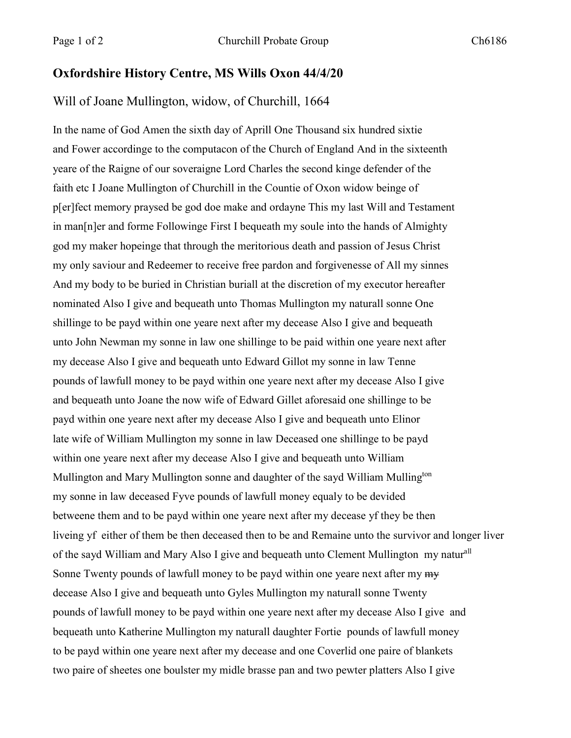## **Oxfordshire History Centre, MS Wills Oxon 44/4/20**

## Will of Joane Mullington, widow, of Churchill, 1664

In the name of God Amen the sixth day of Aprill One Thousand six hundred sixtie and Fower accordinge to the computacon of the Church of England And in the sixteenth yeare of the Raigne of our soveraigne Lord Charles the second kinge defender of the faith etc I Joane Mullington of Churchill in the Countie of Oxon widow beinge of p[er]fect memory praysed be god doe make and ordayne This my last Will and Testament in man[n]er and forme Followinge First I bequeath my soule into the hands of Almighty god my maker hopeinge that through the meritorious death and passion of Jesus Christ my only saviour and Redeemer to receive free pardon and forgivenesse of All my sinnes And my body to be buried in Christian buriall at the discretion of my executor hereafter nominated Also I give and bequeath unto Thomas Mullington my naturall sonne One shillinge to be payd within one yeare next after my decease Also I give and bequeath unto John Newman my sonne in law one shillinge to be paid within one yeare next after my decease Also I give and bequeath unto Edward Gillot my sonne in law Tenne pounds of lawfull money to be payd within one yeare next after my decease Also I give and bequeath unto Joane the now wife of Edward Gillet aforesaid one shillinge to be payd within one yeare next after my decease Also I give and bequeath unto Elinor late wife of William Mullington my sonne in law Deceased one shillinge to be payd within one yeare next after my decease Also I give and bequeath unto William Mullington and Mary Mullington sonne and daughter of the sayd William Mulling<sup>ton</sup> my sonne in law deceased Fyve pounds of lawfull money equaly to be devided betweene them and to be payd within one yeare next after my decease yf they be then liveing yf either of them be then deceased then to be and Remaine unto the survivor and longer liver of the sayd William and Mary Also I give and bequeath unto Clement Mullington my naturall Sonne Twenty pounds of lawfull money to be payd within one yeare next after my  $m_y$ decease Also I give and bequeath unto Gyles Mullington my naturall sonne Twenty pounds of lawfull money to be payd within one yeare next after my decease Also I give and bequeath unto Katherine Mullington my naturall daughter Fortie pounds of lawfull money to be payd within one yeare next after my decease and one Coverlid one paire of blankets two paire of sheetes one boulster my midle brasse pan and two pewter platters Also I give